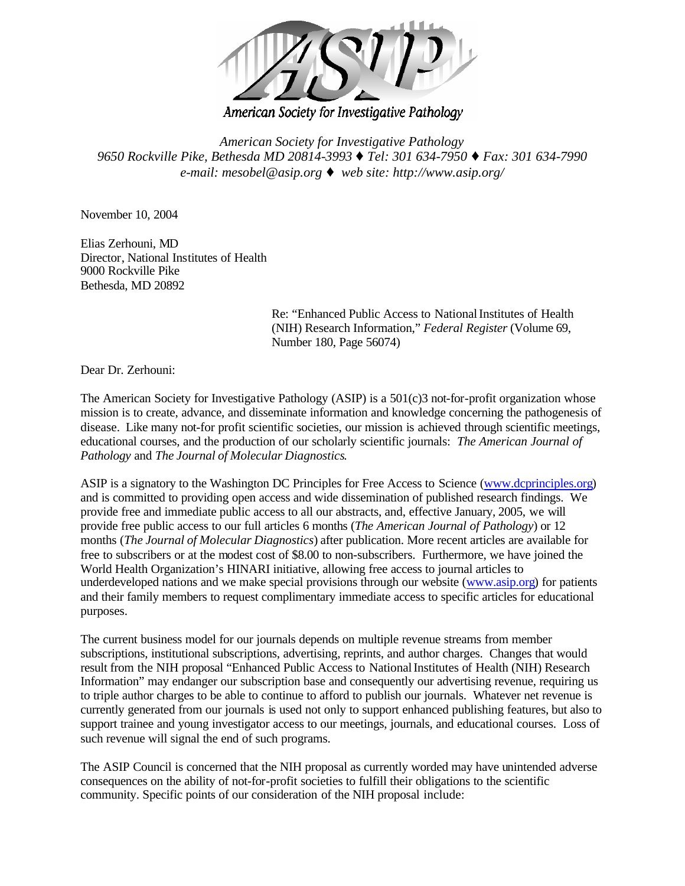

American Society for Investigative Pathology

*American Society for Investigative Pathology 9650 Rockville Pike, Bethesda MD 20814-3993* À *Tel: 301 634-7950* À *Fax: 301 634-7990 e-mail: mesobel@asip.org* À *web site: http://www.asip.org/*

November 10, 2004

Elias Zerhouni, MD Director, National Institutes of Health 9000 Rockville Pike Bethesda, MD 20892

> Re: "Enhanced Public Access to National Institutes of Health (NIH) Research Information," *Federal Register* (Volume 69, Number 180, Page 56074)

Dear Dr. Zerhouni:

The American Society for Investigative Pathology (ASIP) is a 501(c)3 not-for-profit organization whose mission is to create, advance, and disseminate information and knowledge concerning the pathogenesis of disease. Like many not-for profit scientific societies, our mission is achieved through scientific meetings, educational courses, and the production of our scholarly scientific journals: *The American Journal of Pathology* and *The Journal of Molecular Diagnostics*.

ASIP is a signatory to the Washington DC Principles for Free Access to Science (www.dcprinciples.org) and is committed to providing open access and wide dissemination of published research findings. We provide free and immediate public access to all our abstracts, and, effective January, 2005, we will provide free public access to our full articles 6 months (*The American Journal of Pathology*) or 12 months (*The Journal of Molecular Diagnostics*) after publication. More recent articles are available for free to subscribers or at the modest cost of \$8.00 to non-subscribers. Furthermore, we have joined the World Health Organization's HINARI initiative, allowing free access to journal articles to underdeveloped nations and we make special provisions through our website (www.asip.org) for patients and their family members to request complimentary immediate access to specific articles for educational purposes.

The current business model for our journals depends on multiple revenue streams from member subscriptions, institutional subscriptions, advertising, reprints, and author charges. Changes that would result from the NIH proposal "Enhanced Public Access to NationalInstitutes of Health (NIH) Research Information" may endanger our subscription base and consequently our advertising revenue, requiring us to triple author charges to be able to continue to afford to publish our journals. Whatever net revenue is currently generated from our journals is used not only to support enhanced publishing features, but also to support trainee and young investigator access to our meetings, journals, and educational courses. Loss of such revenue will signal the end of such programs.

The ASIP Council is concerned that the NIH proposal as currently worded may have unintended adverse consequences on the ability of not-for-profit societies to fulfill their obligations to the scientific community. Specific points of our consideration of the NIH proposal include: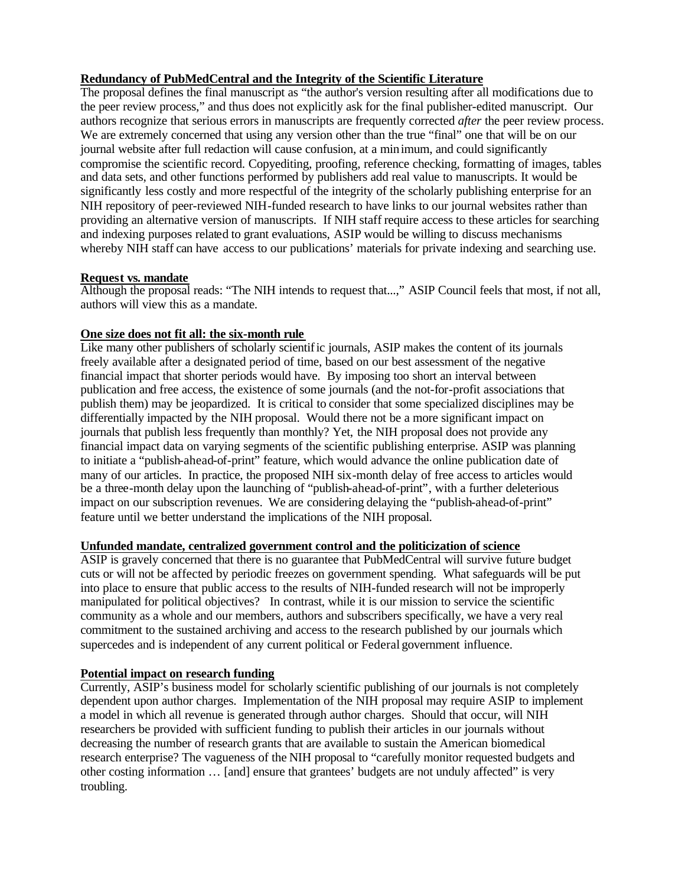# **Redundancy of PubMedCentral and the Integrity of the Scientific Literature**

The proposal defines the final manuscript as "the author's version resulting after all modifications due to the peer review process," and thus does not explicitly ask for the final publisher-edited manuscript. Our authors recognize that serious errors in manuscripts are frequently corrected *after* the peer review process. We are extremely concerned that using any version other than the true "final" one that will be on our journal website after full redaction will cause confusion, at a minimum, and could significantly compromise the scientific record. Copyediting, proofing, reference checking, formatting of images, tables and data sets, and other functions performed by publishers add real value to manuscripts. It would be significantly less costly and more respectful of the integrity of the scholarly publishing enterprise for an NIH repository of peer-reviewed NIH-funded research to have links to our journal websites rather than providing an alternative version of manuscripts. If NIH staff require access to these articles for searching and indexing purposes related to grant evaluations, ASIP would be willing to discuss mechanisms whereby NIH staff can have access to our publications' materials for private indexing and searching use.

# **Request vs. mandate**

Although the proposal reads: "The NIH intends to request that...," ASIP Council feels that most, if not all, authors will view this as a mandate.

## **One size does not fit all: the six-month rule**

Like many other publishers of scholarly scientific journals, ASIP makes the content of its journals freely available after a designated period of time, based on our best assessment of the negative financial impact that shorter periods would have. By imposing too short an interval between publication and free access, the existence of some journals (and the not-for-profit associations that publish them) may be jeopardized. It is critical to consider that some specialized disciplines may be differentially impacted by the NIH proposal. Would there not be a more significant impact on journals that publish less frequently than monthly? Yet, the NIH proposal does not provide any financial impact data on varying segments of the scientific publishing enterprise. ASIP was planning to initiate a "publish-ahead-of-print" feature, which would advance the online publication date of many of our articles. In practice, the proposed NIH six-month delay of free access to articles would be a three-month delay upon the launching of "publish-ahead-of-print", with a further deleterious impact on our subscription revenues. We are considering delaying the "publish-ahead-of-print" feature until we better understand the implications of the NIH proposal.

#### **Unfunded mandate, centralized government control and the politicization of science**

ASIP is gravely concerned that there is no guarantee that PubMedCentral will survive future budget cuts or will not be affected by periodic freezes on government spending. What safeguards will be put into place to ensure that public access to the results of NIH-funded research will not be improperly manipulated for political objectives? In contrast, while it is our mission to service the scientific community as a whole and our members, authors and subscribers specifically, we have a very real commitment to the sustained archiving and access to the research published by our journals which supercedes and is independent of any current political or Federal government influence.

## **Potential impact on research funding**

Currently, ASIP's business model for scholarly scientific publishing of our journals is not completely dependent upon author charges. Implementation of the NIH proposal may require ASIP to implement a model in which all revenue is generated through author charges. Should that occur, will NIH researchers be provided with sufficient funding to publish their articles in our journals without decreasing the number of research grants that are available to sustain the American biomedical research enterprise? The vagueness of the NIH proposal to "carefully monitor requested budgets and other costing information … [and] ensure that grantees' budgets are not unduly affected" is very troubling.